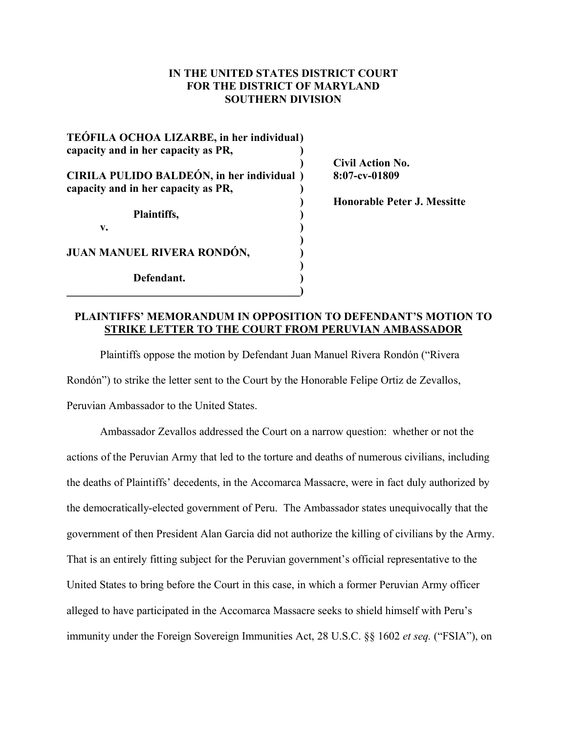## **IN THE UNITED STATES DISTRICT COURT FOR THE DISTRICT OF MARYLAND SOUTHERN DIVISION**

| <b>TEÓFILA OCHOA LIZARBE, in her individual)</b><br>capacity and in her capacity as PR, |
|-----------------------------------------------------------------------------------------|
| CIRILA PULIDO BALDEÓN, in her individual)<br>capacity and in her capacity as PR,        |
| Plaintiffs,<br>V.                                                                       |
| JUAN MANUEL RIVERA RONDÓN,                                                              |
| Defendant.                                                                              |

**) Civil Action No. CIRILA PULIDO BALDEÓN, in her individual ) 8:07-cv-01809**

**) Honorable Peter J. Messitte**

## **PLAINTIFFS' MEMORANDUM IN OPPOSITION TO DEFENDANT'S MOTION TO STRIKE LETTER TO THE COURT FROM PERUVIAN AMBASSADOR**

Plaintiffs oppose the motion by Defendant Juan Manuel Rivera Rondón ("Rivera Rondón") to strike the letter sent to the Court by the Honorable Felipe Ortiz de Zevallos, Peruvian Ambassador to the United States.

Ambassador Zevallos addressed the Court on a narrow question: whether or not the actions of the Peruvian Army that led to the torture and deaths of numerous civilians, including the deaths of Plaintiffs' decedents, in the Accomarca Massacre, were in fact duly authorized by the democratically-elected government of Peru. The Ambassador states unequivocally that the government of then President Alan Garcia did not authorize the killing of civilians by the Army. That is an entirely fitting subject for the Peruvian government's official representative to the United States to bring before the Court in this case, in which a former Peruvian Army officer alleged to have participated in the Accomarca Massacre seeks to shield himself with Peru's immunity under the Foreign Sovereign Immunities Act, 28 U.S.C. §§ 1602 *et seq.* ("FSIA"), on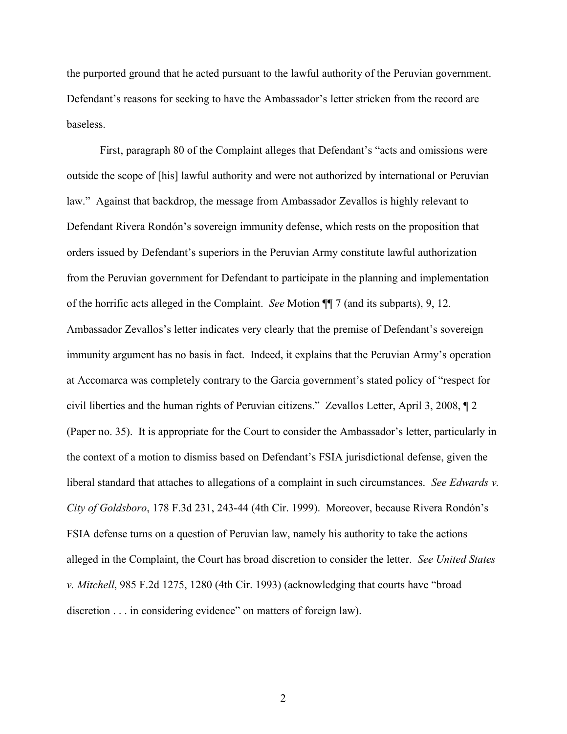the purported ground that he acted pursuant to the lawful authority of the Peruvian government. Defendant's reasons for seeking to have the Ambassador's letter stricken from the record are baseless.

First, paragraph 80 of the Complaint alleges that Defendant's "acts and omissions were outside the scope of [his] lawful authority and were not authorized by international or Peruvian law." Against that backdrop, the message from Ambassador Zevallos is highly relevant to Defendant Rivera Rondón's sovereign immunity defense, which rests on the proposition that orders issued by Defendant's superiors in the Peruvian Army constitute lawful authorization from the Peruvian government for Defendant to participate in the planning and implementation of the horrific acts alleged in the Complaint. *See* Motion ¶¶ 7 (and its subparts), 9, 12. Ambassador Zevallos's letter indicates very clearly that the premise of Defendant's sovereign immunity argument has no basis in fact. Indeed, it explains that the Peruvian Army's operation at Accomarca was completely contrary to the Garcia government's stated policy of "respect for civil liberties and the human rights of Peruvian citizens." Zevallos Letter, April 3, 2008, ¶ 2 (Paper no. 35). It is appropriate for the Court to consider the Ambassador's letter, particularly in the context of a motion to dismiss based on Defendant's FSIA jurisdictional defense, given the liberal standard that attaches to allegations of a complaint in such circumstances. *See Edwards v. City of Goldsboro*, 178 F.3d 231, 243-44 (4th Cir. 1999). Moreover, because Rivera Rondón's FSIA defense turns on a question of Peruvian law, namely his authority to take the actions alleged in the Complaint, the Court has broad discretion to consider the letter. *See United States v. Mitchell*, 985 F.2d 1275, 1280 (4th Cir. 1993) (acknowledging that courts have "broad discretion . . . in considering evidence" on matters of foreign law).

2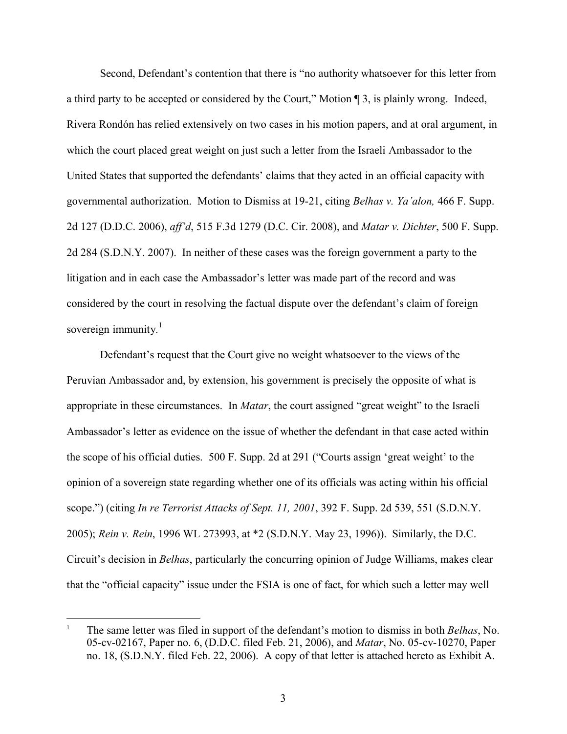Second, Defendant's contention that there is "no authority whatsoever for this letter from a third party to be accepted or considered by the Court," Motion ¶ 3, is plainly wrong. Indeed, Rivera Rondón has relied extensively on two cases in his motion papers, and at oral argument, in which the court placed great weight on just such a letter from the Israeli Ambassador to the United States that supported the defendants' claims that they acted in an official capacity with governmental authorization. Motion to Dismiss at 19-21, citing *Belhas v. Ya'alon,* 466 F. Supp. 2d 127 (D.D.C. 2006), *aff'd*, 515 F.3d 1279 (D.C. Cir. 2008), and *Matar v. Dichter*, 500 F. Supp. 2d 284 (S.D.N.Y. 2007). In neither of these cases was the foreign government a party to the litigation and in each case the Ambassador's letter was made part of the record and was considered by the court in resolving the factual dispute over the defendant's claim of foreign sovereign immunity.<sup>1</sup>

Defendant's request that the Court give no weight whatsoever to the views of the Peruvian Ambassador and, by extension, his government is precisely the opposite of what is appropriate in these circumstances. In *Matar*, the court assigned "great weight" to the Israeli Ambassador's letter as evidence on the issue of whether the defendant in that case acted within the scope of his official duties. 500 F. Supp. 2d at 291 ("Courts assign 'great weight' to the opinion of a sovereign state regarding whether one of its officials was acting within his official scope.") (citing *In re Terrorist Attacks of Sept. 11, 2001*, 392 F. Supp. 2d 539, 551 (S.D.N.Y. 2005); *Rein v. Rein*, 1996 WL 273993, at \*2 (S.D.N.Y. May 23, 1996)). Similarly, the D.C. Circuit's decision in *Belhas*, particularly the concurring opinion of Judge Williams, makes clear that the "official capacity" issue under the FSIA is one of fact, for which such a letter may well

<sup>1</sup> The same letter was filed in support of the defendant's motion to dismiss in both *Belhas*, No. 05-cv-02167, Paper no. 6, (D.D.C. filed Feb. 21, 2006), and *Matar*, No. 05-cv-10270, Paper no. 18, (S.D.N.Y. filed Feb. 22, 2006). A copy of that letter is attached hereto as Exhibit A.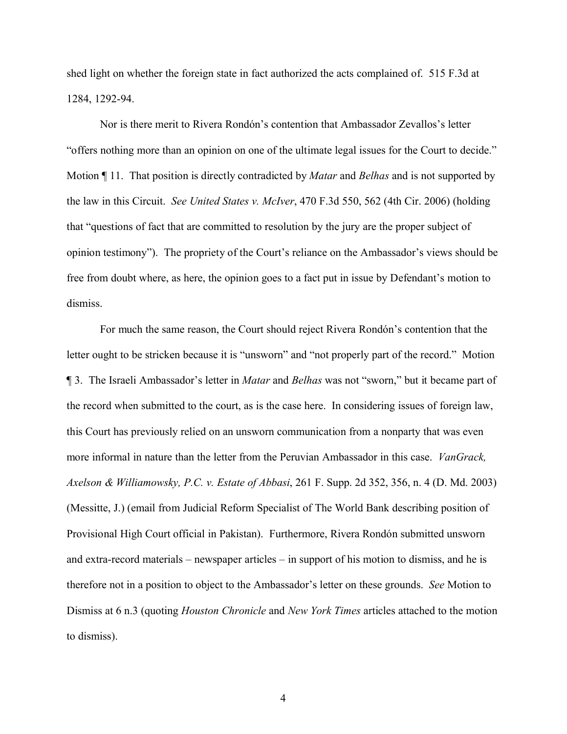shed light on whether the foreign state in fact authorized the acts complained of. 515 F.3d at 1284, 1292-94.

Nor is there merit to Rivera Rondón's contention that Ambassador Zevallos's letter "offers nothing more than an opinion on one of the ultimate legal issues for the Court to decide." Motion ¶ 11. That position is directly contradicted by *Matar* and *Belhas* and is not supported by the law in this Circuit. *See United States v. McIver*, 470 F.3d 550, 562 (4th Cir. 2006) (holding that "questions of fact that are committed to resolution by the jury are the proper subject of opinion testimony"). The propriety of the Court's reliance on the Ambassador's views should be free from doubt where, as here, the opinion goes to a fact put in issue by Defendant's motion to dismiss.

For much the same reason, the Court should reject Rivera Rondón's contention that the letter ought to be stricken because it is "unsworn" and "not properly part of the record." Motion ¶ 3. The Israeli Ambassador's letter in *Matar* and *Belhas* was not "sworn," but it became part of the record when submitted to the court, as is the case here. In considering issues of foreign law, this Court has previously relied on an unsworn communication from a nonparty that was even more informal in nature than the letter from the Peruvian Ambassador in this case. *VanGrack, Axelson & Williamowsky, P.C. v. Estate of Abbasi*, 261 F. Supp. 2d 352, 356, n. 4 (D. Md. 2003) (Messitte, J.) (email from Judicial Reform Specialist of The World Bank describing position of Provisional High Court official in Pakistan). Furthermore, Rivera Rondón submitted unsworn and extra-record materials – newspaper articles – in support of his motion to dismiss, and he is therefore not in a position to object to the Ambassador's letter on these grounds. *See* Motion to Dismiss at 6 n.3 (quoting *Houston Chronicle* and *New York Times* articles attached to the motion to dismiss).

4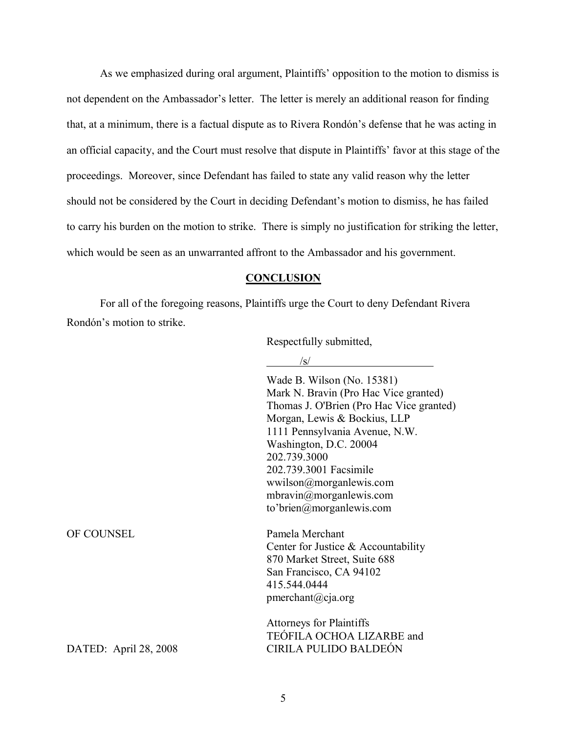As we emphasized during oral argument, Plaintiffs' opposition to the motion to dismiss is not dependent on the Ambassador's letter. The letter is merely an additional reason for finding that, at a minimum, there is a factual dispute as to Rivera Rondón's defense that he was acting in an official capacity, and the Court must resolve that dispute in Plaintiffs' favor at this stage of the proceedings. Moreover, since Defendant has failed to state any valid reason why the letter should not be considered by the Court in deciding Defendant's motion to dismiss, he has failed to carry his burden on the motion to strike. There is simply no justification for striking the letter, which would be seen as an unwarranted affront to the Ambassador and his government.

## **CONCLUSION**

For all of the foregoing reasons, Plaintiffs urge the Court to deny Defendant Rivera Rondón's motion to strike.

Respectfully submitted,

 $\sqrt{g}/$ 

|                       | Wade B. Wilson (No. 15381)<br>Mark N. Bravin (Pro Hac Vice granted)<br>Thomas J. O'Brien (Pro Hac Vice granted)<br>Morgan, Lewis & Bockius, LLP<br>1111 Pennsylvania Avenue, N.W.<br>Washington, D.C. 20004<br>202.739.3000<br>202.739.3001 Facsimile<br>wwilson@morganlewis.com<br>mbravin@morganlewis.com<br>to'brien@morganlewis.com |
|-----------------------|-----------------------------------------------------------------------------------------------------------------------------------------------------------------------------------------------------------------------------------------------------------------------------------------------------------------------------------------|
| OF COUNSEL            | Pamela Merchant<br>Center for Justice & Accountability<br>870 Market Street, Suite 688<br>San Francisco, CA 94102<br>415.544.0444<br>pmerchant@cja.org                                                                                                                                                                                  |
| DATED: April 28, 2008 | <b>Attorneys for Plaintiffs</b><br>TEÓFILA OCHOA LIZARBE and<br><b>CIRILA PULIDO BALDEÓN</b>                                                                                                                                                                                                                                            |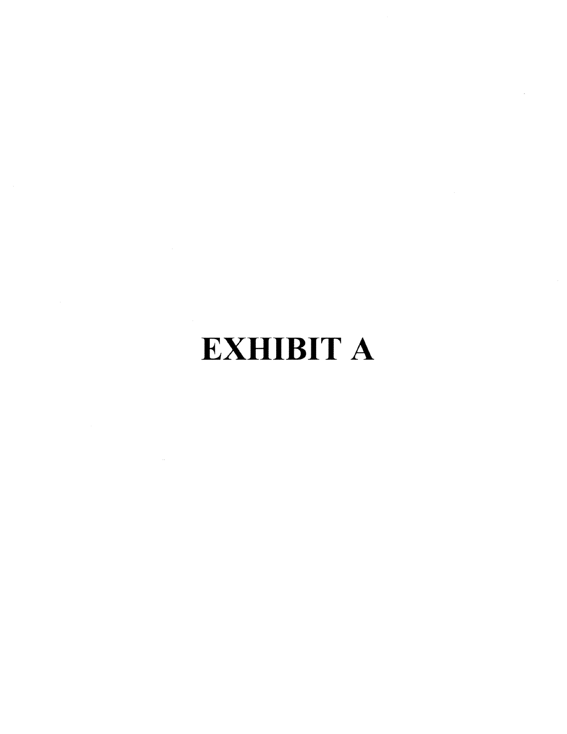## **EXHIBIT A**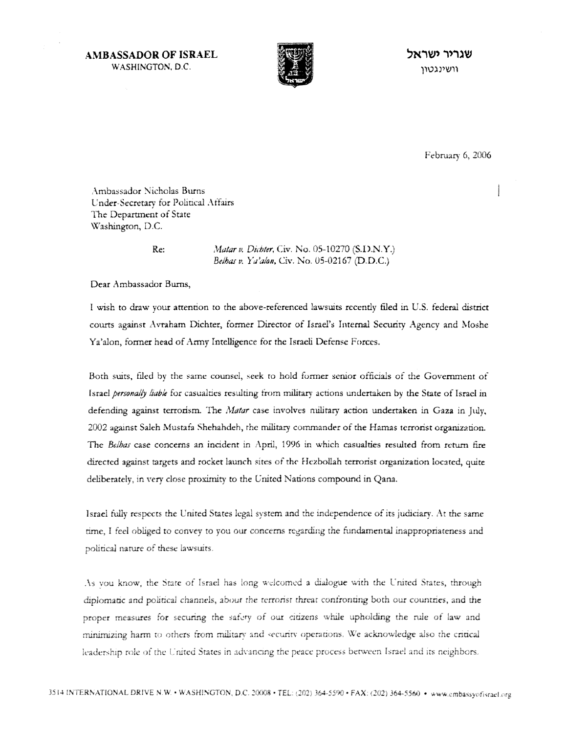**AMBASSADOR OF ISRAEL** WASHINGTON, D.C.



שנריר ישראל וושינגטוו

February 6, 2006

Ambassador Nicholas Burns Under-Secretary for Political Affairs The Department of State Washington, D.C.

Re:

Matar v. Dichter, Civ. No. 05-10270 (S.D.N.Y.) Belhas v. Ya'alon, Civ. No. 05-02167 (D.D.C.)

Dear Ambassador Burns,

I wish to draw your attention to the above-referenced lawsuits recently filed in U.S. federal district courts against Avraham Dichter, former Director of Israel's Internal Security Agency and Moshe Ya'alon, former head of Army Intelligence for the Israeli Defense Forces.

Both suits, filed by the same counsel, seek to hold former senior officials of the Government of Israel personally liable for casualties resulting from military actions undertaken by the State of Israel in defending against terrorism. The Matar case involves military action undertaken in Gaza in July, 2002 against Saleh Mustafa Shehahdeh, the military commander of the Hamas terrorist organization. The *Belbas* case concerns an incident in April, 1996 in which casualties resulted from return fire directed against targets and rocket launch sites of the Hezbollah terrorist organization located, quite deliberately, in very close proximity to the United Nations compound in Qana.

Israel fully respects the United States legal system and the independence of its judiciary. At the same time, I feel obliged to convey to you our concerns regarding the fundamental inappropriateness and political nature of these lawsuits.

As you know, the State of Israel has long welcomed a dialogue with the United States, through diplomatic and political channels, about the terrorist threat confronting both our countries, and the proper measures for securing the safety of our citizens while upholding the rule of law and minimizing harm to others from military and security operations. We acknowledge also the critical leadership role of the United States in advancing the peace process between Israel and its neighbors.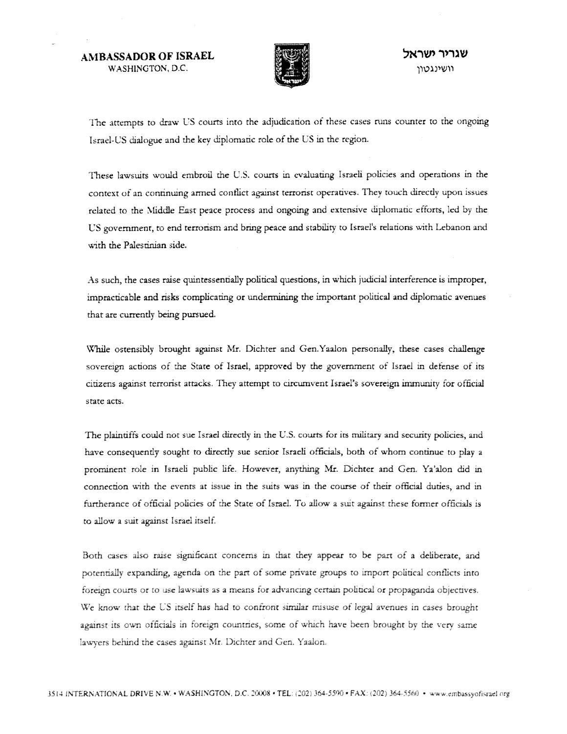**AMBASSADOR OF ISRAEL** WASHINGTON, D.C.



The attempts to draw US courts into the adjudication of these cases runs counter to the ongoing Israel-US dialogue and the key diplomatic role of the US in the region.

These lawsuits would embroil the U.S. courts in evaluating Israeli policies and operations in the context of an continuing armed conflict against terrorist operatives. They touch directly upon issues related to the Middle East peace process and ongoing and extensive diplomatic efforts, led by the US government, to end terrorism and bring peace and stability to Israel's relations with Lebanon and with the Palestinian side.

As such, the cases raise quintessentially political questions, in which judicial interference is improper, impracticable and risks complicating or undermining the important political and diplomatic avenues that are currently being pursued.

While ostensibly brought against Mr. Dichter and Gen.Yaalon personally, these cases challenge sovereign actions of the State of Israel, approved by the government of Israel in defense of its citizens against terrorist attacks. They attempt to circumvent Israel's sovereign immunity for official state acts.

The plaintiffs could not sue Israel directly in the U.S. courts for its military and security policies, and have consequently sought to directly sue senior Israeli officials, both of whom continue to play a prominent role in Israeli public life. However, anything Mr. Dichter and Gen. Ya'alon did in connection with the events at issue in the suits was in the course of their official duties, and in furtherance of official policies of the State of Israel. To allow a suit against these former officials is to allow a suit against Israel itself.

Both cases also raise significant concerns in that they appear to be part of a deliberate, and potentially expanding, agenda on the part of some private groups to import political conflicts into foreign courts or to use lawsuits as a means for advancing certain political or propaganda objectives. We know that the US itself has had to confront similar misuse of legal avenues in cases brought against its own officials in foreign countries, some of which have been brought by the very same lawyers behind the cases against Mr. Dichter and Gen. Yaalon.